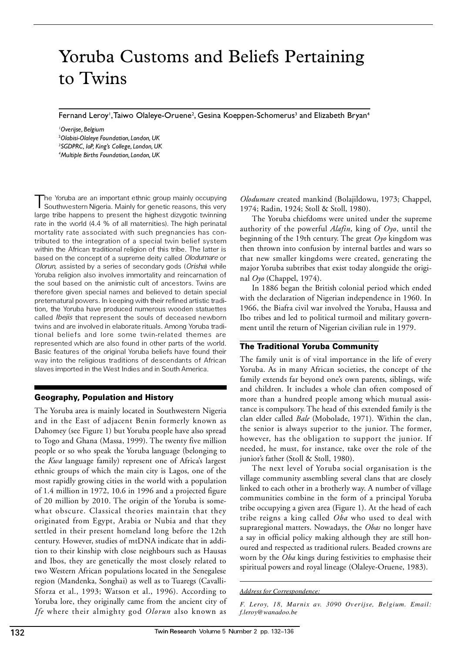# Yoruba Customs and Beliefs Pertaining to Twins

Fernand Leroy', Taiwo Olaleye-Oruene<sup>2</sup>, Gesina Koeppen-Schomerus<sup>3</sup> and Elizabeth Bryan<sup>4</sup>

*Overijse, Belgium Olabisi-Olaleye Foundation, London, UK SGDPRC, IoP, King's College, London, UK Multiple Births Foundation, London, UK*

T he Yoruba are an important ethnic group mainly occupying Southwestern Nigeria. Mainly for genetic reasons, this very large tribe happens to present the highest dizygotic twinning rate in the world (4.4 % of all maternities). The high perinatal mortality rate associated with such pregnancies has contributed to the integration of a special twin belief system within the African traditional religion of this tribe. The latter is based on the concept of a supreme deity called *Olodumare* or *Olorun,* assisted by a series of secondary gods (*Orisha*) while Yoruba religion also involves immortality and reincarnation of the soul based on the animistic cult of ancestors. Twins are therefore given special names and believed to detain special preternatural powers. In keeping with their refined artistic tradition, the Yoruba have produced numerous wooden statuettes called *Ibejis* that represent the souls of deceased newborn twins and are involved in elaborate rituals. Among Yoruba traditional beliefs and lore some twin-related themes are represented which are also found in other parts of the world. Basic features of the original Yoruba beliefs have found their way into the religious traditions of descendants of African slaves imported in the West Indies and in South America.

# Geography, Population and History

The Yoruba area is mainly located in Southwestern Nigeria and in the East of adjacent Benin formerly known as Dahomey (see Figure 1) but Yoruba people have also spread to Togo and Ghana (Massa, 1999). The twenty five million people or so who speak the Yoruba language (belonging to the *Kwa* language family) represent one of Africa's largest ethnic groups of which the main city is Lagos, one of the most rapidly growing cities in the world with a population of 1.4 million in 1972, 10.6 in 1996 and a projected figure of 20 million by 2010. The origin of the Yoruba is some what obscure. Classical theories maintain that they originated from Egypt, Arabia or Nubia and that they settled in their present homeland long before the 12th century. However, studies of mtDNA indicate that in addition to their kinship with close neighbours such as Hausas and Ibos, they are genetically the most closely related to two Western African populations located in the Senegalese region (Mandenka, Songhai) as well as to Tuaregs (Cavalli-Sforza et al., 1993; Watson et al., 1996). According to Yoruba lore, they originally came from the ancient city of *Ife* where their almighty god *Olorun* also known as

*Olodumare* created mankind (Bolajildowu, 1973; Chappel, 1974; Radin, 1924; Stoll & Stoll, 1980).

The Yoruba chiefdoms were united under the supreme authority of the powerful *Alafin*, king of *Oyo*, until the beginning of the 19th century. The great *Oyo* kingdom was then thrown into confusion by internal battles and wars so that new smaller kingdoms were created, generating the major Yoruba subtribes that exist today alongside the original *Oyo* (Chappel, 1974).

In 1886 began the British colonial period which ended with the declaration of Nigerian independence in 1960. In 1966, the Biafra civil war involved the Yoruba, Haussa and Ibo tribes and led to political turmoil and military government until the return of Nigerian civilian rule in 1979.

# The Traditional Yoruba Community

The family unit is of vital importance in the life of every Yoruba. As in many African societies, the concept of the family extends far beyond one's own parents, siblings, wife and children. It includes a whole clan often composed of more than a hundred people among which mutual assistance is compulsory. The head of this extended family is the clan elder called *Bale* (Mobolade, 1971). Within the clan, the senior is always superior to the junior. The former, however, has the obligation to support the junior. If needed, he must, for instance, take over the role of the junior's father (Stoll & Stoll, 1980).

The next level of Yoruba social organisation is the village community assembling several clans that are closely linked to each other in a brotherly way. A number of village communities combine in the form of a principal Yoruba tribe occupying a given area (Figure 1). At the head of each tribe reigns a king called *Oba* who used to deal with supraregional matters. Nowadays, the *Obas* no longer have a say in official policy making although they are still honoured and respected as traditional rulers. Beaded crowns are worn by the *Oba* kings during festivities to emphasise their spiritual powers and royal lineage (Olaleye-Oruene, 1983).

*F. Leroy, 18, Marnix av. 3090 Overijse, Belgium. Email: f.leroy@wanadoo.be*

*Address for Correspondence:*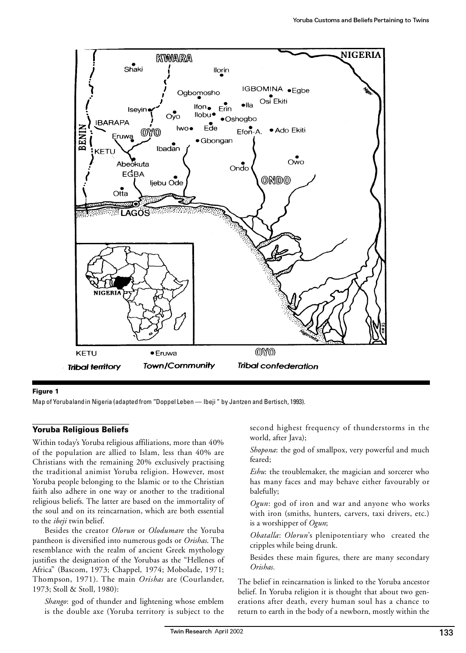

## Figure 1

Map of Yorubaland in Nigeria (adapted from "Doppel Leben - Ibeji" by Jantzen and Bertisch, 1993).

## Yoruba Religious Beliefs

Within today's Yoruba religious affiliations, more than 40% of the population are allied to Islam, less than 40% are Christians with the remaining 20% exclusively practising the traditional animist Yoruba religion. However, most Yoruba people belonging to the Islamic or to the Christian faith also adhere in one way or another to the traditional religious beliefs. The latter are based on the immortality of the soul and on its reincarnation, which are both essential to the *ibeji* twin belief.

Besides the creator *Olorun* or *Olodumare* the Yoruba pantheon is diversified into numerous gods or *Orishas*. The resemblance with the realm of ancient Greek mythology justifies the designation of the Yorubas as the "Hellenes of Africa" (Bascom, 1973; Chappel, 1974; Mobolade, 1971; Thompson, 1971). The main *Orishas* are (Courlander, 1973; Stoll & Stoll, 1980):

*Shango*: god of thunder and lightening whose emblem is the double axe (Yoruba territory is subject to the second highest frequency of thunderstorms in the world, after Java);

*Shopona*: the god of smallpox, very powerful and much feared;

*Eshu*: the troublemaker, the magician and sorcerer who has many faces and may behave either favourably or balefully;

*Ogun*: god of iron and war and anyone who works with iron (smiths, hunters, carvers, taxi drivers, etc.) is a worshipper of *Ogun*;

*Obatalla*: *Olorun*'s plenipotentiary who created the cripples while being drunk.

Besides these main figures, there are many secondary *Orishas.*

The belief in reincarnation is linked to the Yoruba ancestor belief. In Yoruba religion it is thought that about two generations after death, every human soul has a chance to return to earth in the body of a newborn, mostly within the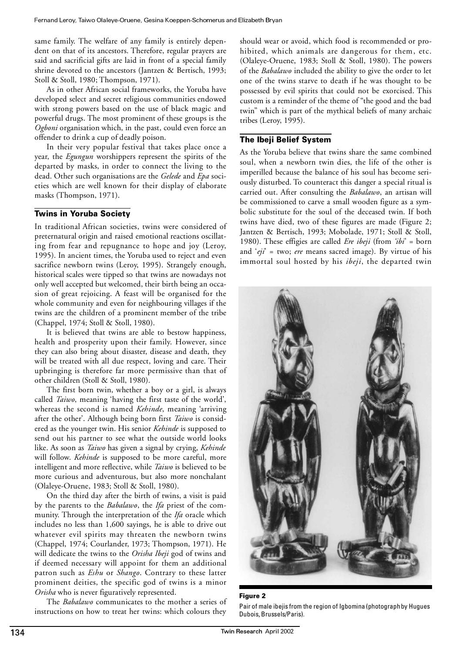same family. The welfare of any family is entirely dependent on that of its ancestors. Therefore, regular prayers are said and sacrificial gifts are laid in front of a special family shrine devoted to the ancestors (Jantzen & Bertisch, 1993; Stoll & Stoll, 1980; Thompson, 1971).

As in other African social frameworks, the Yoruba have developed select and secret religious communities endowed with strong powers based on the use of black magic and powerful drugs. The most prominent of these groups is the *Ogboni* organisation which, in the past, could even force an offender to drink a cup of deadly poison.

In their very popular festival that takes place once a year, the *Egungun* worshippers represent the spirits of the departed by masks, in order to connect the living to the dead. Other such organisations are the *Gelede* and *Epa* societies which are well known for their display of elaborate masks (Thompson, 1971).

# Twins in Yoruba Society

In traditional African societies, twins were considered of preternatural origin and raised emotional reactions oscillating from fear and repugnance to hope and joy (Leroy, 1995). In ancient times, the Yoruba used to reject and even sacrifice newborn twins (Leroy, 1995). Strangely enough, historical scales were tipped so that twins are nowadays not only well accepted but welcomed, their birth being an occasion of great rejoicing. A feast will be organised for the whole community and even for neighbouring villages if the twins are the children of a prominent member of the tribe (Chappel, 1974; Stoll & Stoll, 1980).

It is believed that twins are able to bestow happiness, health and prosperity upon their family. However, since they can also bring about disaster, disease and death, they will be treated with all due respect, loving and care. Their upbringing is therefore far more permissive than that of other children (Stoll & Stoll, 1980).

The first born twin, whether a boy or a girl, is always called *Taiwo*, meaning 'having the first taste of the world', whereas the second is named *Kehinde*, meaning 'arriving after the other'. Although being born first *Taiwo* is considered as the younger twin. His senior *Kehinde* is supposed to send out his partner to see what the outside world looks like. As soon as *Taiwo* has given a signal by crying, *Kehinde* will follow. *Kehinde* is supposed to be more careful, more intelligent and more reflective, while *Taiwo* is believed to be more curious and adventurous, but also more nonchalant (Olaleye-Oruene, 1983; Stoll & Stoll, 1980).

On the third day after the birth of twins, a visit is paid by the parents to the *Babalawo*, the *Ifa* priest of the com munity. Through the interpretation of the *Ifa* oracle which includes no less than 1,600 sayings, he is able to drive out whatever evil spirits may threaten the newborn twins (Chappel, 1974; Courlander, 1973; Thompson, 1971). He will dedicate the twins to the *Orisha Ibeji* god of twins and if deemed necessary will appoint for them an additional patron such as *Eshu* or *Shango*. Contrary to these latter prominent deities, the specific god of twins is a minor *Orisha* who is never figuratively represented.

The *Babalawo* communicates to the mother a series of instructions on how to treat her twins: which colours they

should wear or avoid, which food is recommended or prohibited, which animals are dangerous for them, etc. (Olaleye-Oruene, 1983; Stoll & Stoll, 1980). The powers of the *Babalawo* included the ability to give the order to let one of the twins starve to death if he was thought to be possessed by evil spirits that could not be exorcised. This custom is a reminder of the theme of "the good and the bad twin" which is part of the mythical beliefs of many archaic tribes (Leroy, 1995).

# The Ibeji Belief System

As the Yoruba believe that twins share the same combined soul, when a newborn twin dies, the life of the other is imperilled because the balance of his soul has become seriously disturbed. To counteract this danger a special ritual is carried out. After consulting the *Babalawo*, an artisan will be commissioned to carve a small wooden figure as a symbolic substitute for the soul of the deceased twin. If both twins have died, two of these figures are made (Figure 2; Jantzen & Bertisch, 1993; Mobolade, 1971; Stoll & Stoll, 1980). These effigies are called *Ere ibeji* (from *'ibi*' = born and '*eji*' = two; *ere* means sacred image). By virtue of his immortal soul hosted by his *ibeji*, the departed twin



## Figure 2

Pair of male ibejis from the region of Igbomina (photograph by Hugues Dubois, Brussels/Paris).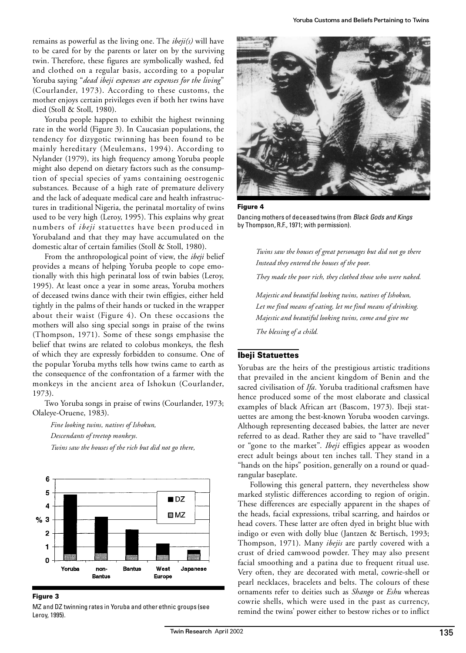remains as powerful as the living one. The *ibeji(s)* will have to be cared for by the parents or later on by the surviving twin. Therefore, these figures are symbolically washed, fed and clothed on a regular basis, according to a popular Yoruba saying "*dead ibeji expenses are expenses for the living*" (Courlander, 1973). According to these customs, the mother enjoys certain privileges even if both her twins have died (Stoll & Stoll, 1980).

Yoruba people happen to exhibit the highest twinning rate in the world (Figure 3). In Caucasian populations, the tendency for dizygotic twinning has been found to be mainly hereditary (Meulemans, 1994). According to Nylander (1979), its high frequency among Yoruba people might also depend on dietary factors such as the consumption of special species of yams containing oestrogenic substances. Because of a high rate of premature delivery and the lack of adequate medical care and health infrastructures in traditional Nigeria, the perinatal mortality of twins used to be very high (Leroy, 1995). This explains why great numbers of *ibeji* statuettes have been produced in Yorubaland and that they may have accumulated on the domestic altar of certain families (Stoll & Stoll, 1980).

From the anthropological point of view, the *ibeji* belief provides a means of helping Yoruba people to cope emotionally with this high perinatal loss of twin babies (Leroy, 1995). At least once a year in some areas, Yoruba mothers of deceased twins dance with their twin effigies, either held tightly in the palms of their hands or tucked in the wrapper about their waist (Figure 4). On these occasions the mothers will also sing special songs in praise of the twins (Thompson, 1971). Some of these songs emphasise the belief that twins are related to colobus monkeys, the flesh of which they are expressly forbidden to consume. One of the popular Yoruba myths tells how twins came to earth as the consequence of the confrontation of a farmer with the monkeys in the ancient area of Ishokun (Courlander, 1973).

Two Yoruba songs in praise of twins (Courlander, 1973; Olaleye-Oruene, 1983).

*Fine looking twins, natives of Ishokun, Descendants of treetop monkeys. Twins saw the houses of the rich but did not go there,* 



Figure 3

MZ and DZ twinning rates in Yoruba and other ethnic groups (see Leroy, 1995).



Figure 4

Dancing mothers of deceased twins (from *Black Gods and Kings* by Thompson, R.F., 1971; with permission).

*Twins saw the houses of great personages but did not go there Instead they entered the houses of the poor.*

*They made the poor rich, they clothed those who were naked.*

*Majestic and beautiful looking twins, natives of Ishokun, Let me find means of eating, let me find means of drinking. Majestic and beautiful looking twins, come and give me The blessing of a child.*

## Ibeji Statuettes

Yorubas are the heirs of the prestigious artistic traditions that prevailed in the ancient kingdom of Benin and the sacred civilisation of *Ifa*. Yoruba traditional craftsmen have hence produced some of the most elaborate and classical examples of black African art (Bascom, 1973). Ibeji statuettes are among the best-known Yoruba wooden carvings. Although representing deceased babies, the latter are never referred to as dead. Rather they are said to "have travelled" or "gone to the market". *Ibeji* effigies appear as wooden erect adult beings about ten inches tall. They stand in a "hands on the hips" position, generally on a round or quadrangular baseplate.

Following this general pattern, they nevertheless show marked stylistic differences according to region of origin. These differences are especially apparent in the shapes of the heads, facial expressions, tribal scarring, and hairdos or head covers. These latter are often dyed in bright blue with indigo or even with dolly blue (Jantzen & Bertisch, 1993; Thompson, 1971). Many *ibejis* are partly covered with a crust of dried camwood powder. They may also present facial smoothing and a patina due to frequent ritual use. Very often, they are decorated with metal, cowrie-shell or pearl necklaces, bracelets and belts. The colours of these ornaments refer to deities such as *Shango* or *Eshu* whereas cowrie shells, which were used in the past as currency, remind the twins' power either to bestow riches or to inflict